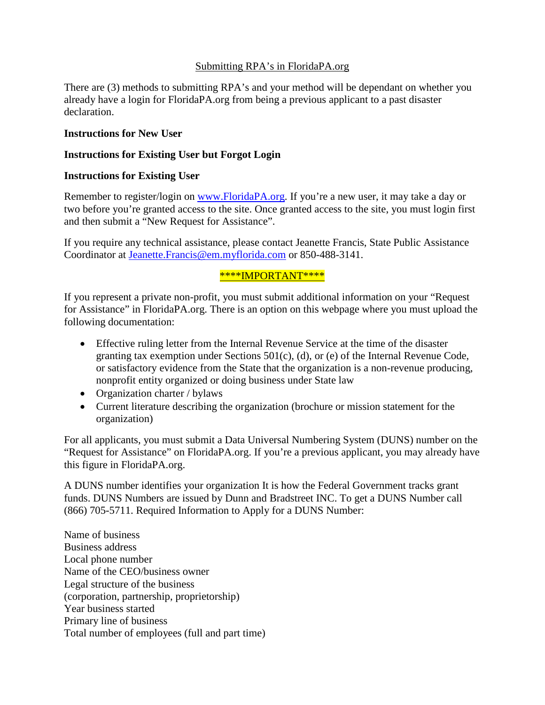#### Submitting RPA's in FloridaPA.org

There are (3) methods to submitting RPA's and your method will be dependant on whether you already have a login for FloridaPA.org from being a previous applicant to a past disaster declaration.

#### **Instructions for New User**

#### **Instructions for Existing User but Forgot Login**

#### **Instructions for Existing User**

Remember to register/login on [www.FloridaPA.org.](http://www.floridapa.org/) If you're a new user, it may take a day or two before you're granted access to the site. Once granted access to the site, you must login first and then submit a "New Request for Assistance".

If you require any technical assistance, please contact Jeanette Francis, State Public Assistance Coordinator at [Jeanette.Francis@em.myflorida.com](mailto:Jeanette.Francis@em.myflorida.com) or 850-488-3141.

#### \*\*\*\*IMPORTANT\*\*\*\*

If you represent a private non-profit, you must submit additional information on your "Request for Assistance" in FloridaPA.org. There is an option on this webpage where you must upload the following documentation:

- Effective ruling letter from the Internal Revenue Service at the time of the disaster granting tax exemption under Sections 501(c), (d), or (e) of the Internal Revenue Code, or satisfactory evidence from the State that the organization is a non-revenue producing, nonprofit entity organized or doing business under State law
- Organization charter / bylaws
- Current literature describing the organization (brochure or mission statement for the organization)

For all applicants, you must submit a Data Universal Numbering System (DUNS) number on the "Request for Assistance" on FloridaPA.org. If you're a previous applicant, you may already have this figure in FloridaPA.org.

A DUNS number identifies your organization It is how the Federal Government tracks grant funds. DUNS Numbers are issued by Dunn and Bradstreet INC. To get a DUNS Number call (866) 705-5711. Required Information to Apply for a DUNS Number:

Name of business Business address Local phone number Name of the CEO/business owner Legal structure of the business (corporation, partnership, proprietorship) Year business started Primary line of business Total number of employees (full and part time)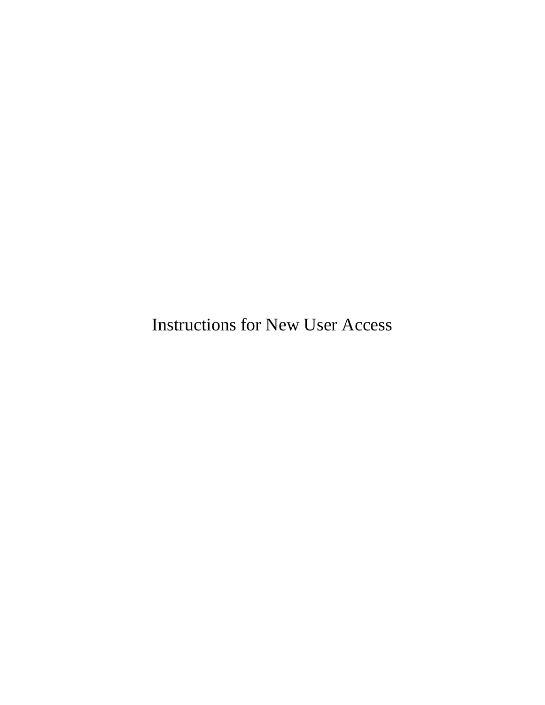Instructions for New User Access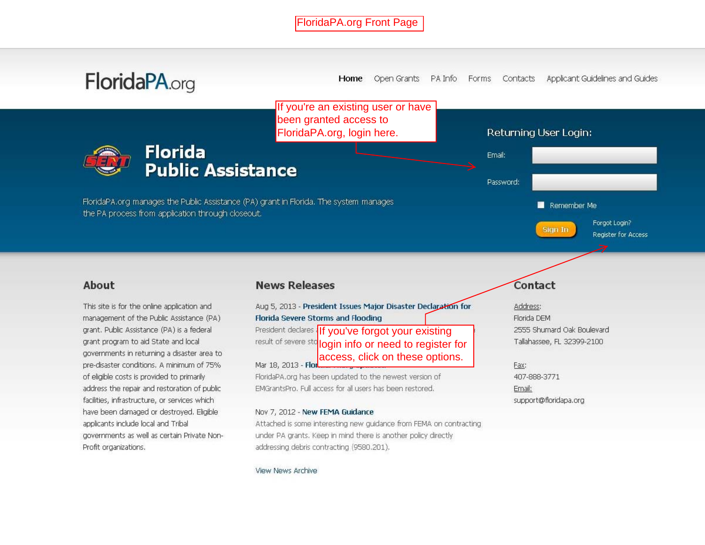

View News Archive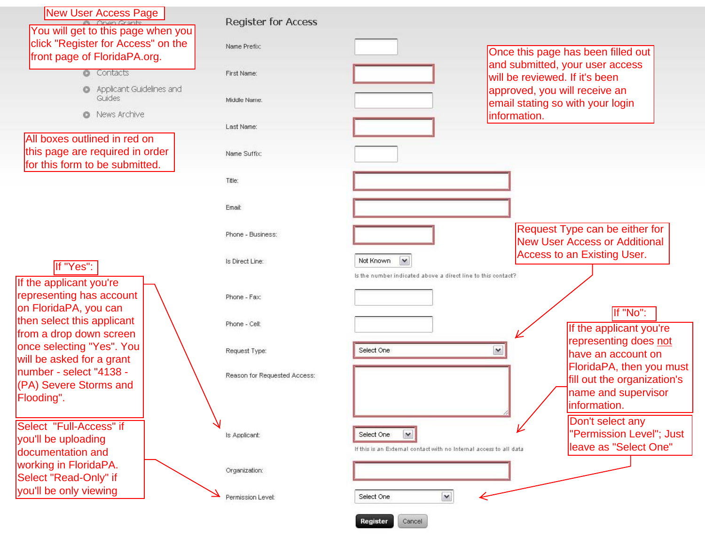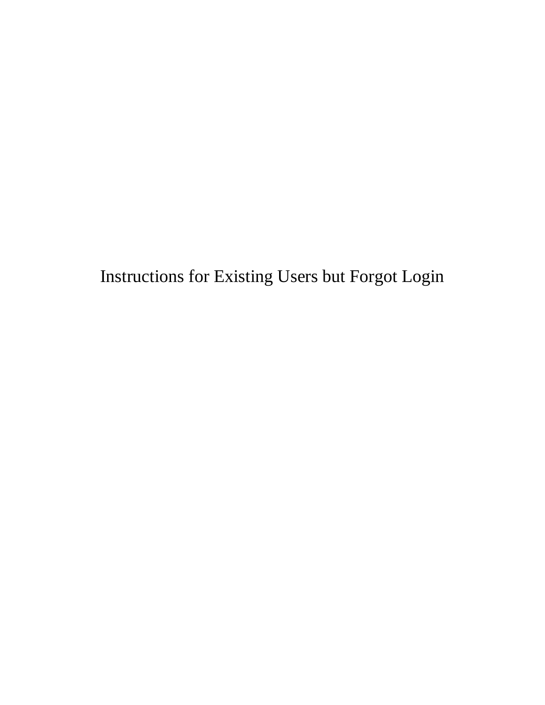Instructions for Existing Users but Forgot Login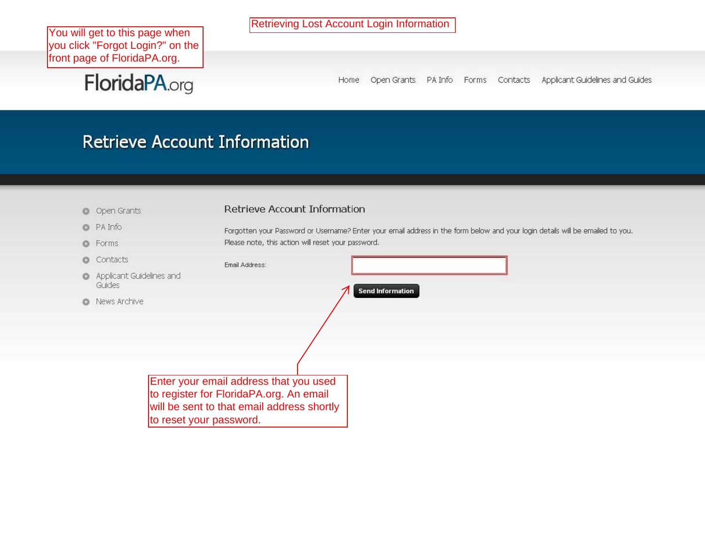You will get to this page when you click "Forgot Login?" on the front page of FloridaPA.org.

FloridaPA.org

**Retrieving Lost Account Login Information** 

Home Open Grants PA Info Forms Contacts Applicant Guidelines and Guides

## **Retrieve Account Information**

- O Open Grants
- **C** PA Info
- **O** Forms
- Contacts
- Applicant GI Guides
- **O** News Archiv

#### Retrieve Account Information

Forgotten your Password or Username? Enter your email address in the form below and your login details will be emailed to you. Please note, this action will reset your password.

|    | Email Address:                             |                         |
|----|--------------------------------------------|-------------------------|
|    | uidelines and                              |                         |
|    |                                            | <b>Send Information</b> |
| ve |                                            |                         |
|    |                                            |                         |
|    |                                            |                         |
|    |                                            |                         |
|    |                                            |                         |
|    | Enter your email address that you used     |                         |
|    | to register for FloridaPA.org. An email    |                         |
|    | will be sent to that email address shortly |                         |
|    | to reset your password.                    |                         |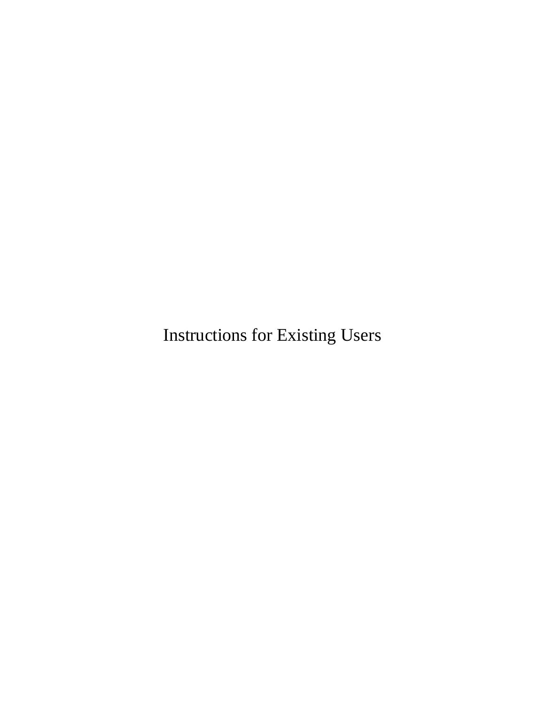Instructions for Existing Users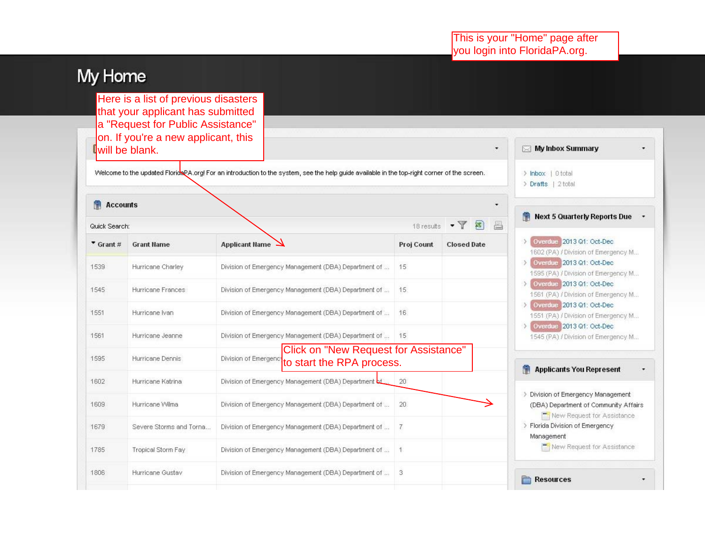# My Home

Here is a list of previous disasters that your applicant has submitted a "Request for Public Assistance" on. If you're a new applicant, this will be blank.

Welcome to the updated FloridsPA.org! For an introduction to the system, see the help guide available in the top-right corner of the screen.

**Accounts** 

| Quick Search:        |                         |                                                                                            | 18 results     | 昌<br>$\cdot$ $\sqrt{8}$ |
|----------------------|-------------------------|--------------------------------------------------------------------------------------------|----------------|-------------------------|
| $\bullet$ Grant #    | <b>Grant Name</b>       | Applicant Name                                                                             | Proj Count     | <b>Closed Date</b>      |
| 1539                 | Hurricane Charley       | Division of Emergency Management (DBA) Department of                                       | 15             |                         |
| 1545                 | Hurricane Frances       | Division of Emergency Management (DBA) Department of                                       | 15.            |                         |
| 1551                 | Hurricane Ivan          | Division of Emergency Management (DBA) Department of                                       | 16             |                         |
| 1561                 | Hurricane Jeanne        | Division of Emergency Management (DBA) Department of                                       | 15             |                         |
| 1595                 | Hurricane Dennis        | Click on "New Request for Assistance"<br>Division of Emergeno<br>to start the RPA process. |                |                         |
| 1602                 | Hurricane Katrina       | Division of Emergency Management (DBA) Department bt                                       | 20             |                         |
|                      | Hurricane Wilma         | Division of Emergency Management (DBA) Department of                                       | 20             |                         |
|                      |                         |                                                                                            |                |                         |
|                      | Severe Storms and Torna | Division of Emergency Management (DBA) Department of                                       | $\overline{7}$ |                         |
| 1609<br>1679<br>1785 | Tropical Storm Fay      | Division of Emergency Management (DBA) Department of                                       | 1              |                         |

| My Inbox Summary                      |  |
|---------------------------------------|--|
| > Inbox   0 total                     |  |
| > Drafts   2 total                    |  |
| Next 5 Quarterly Reports Due          |  |
| > Overdue 2013 Q1: Oct-Dec            |  |
| 1602 (PA) / Division of Emergency M   |  |
| > Overdue 2013 Q1: Oct-Dec            |  |
| 1595 (PA) / Division of Emergency M   |  |
| > Overdue 2013 Q1: Oct-Dec            |  |
| 1561 (PA) / Division of Emergency M   |  |
| > Overdue 2013 Q1: Oct-Dec            |  |
| 1551 (PA) / Division of Emergency M   |  |
| > Overdue 2013 Q1: Oct-Dec            |  |
| 1545 (PA) / Division of Emergency M   |  |
| <b>Applicants You Represent</b>       |  |
| > Division of Emergency Management    |  |
| (DBA) Department of Community Affairs |  |
| New Request for Assistance            |  |
| > Florida Division of Emergency       |  |
| Management                            |  |
| New Request for Assistance            |  |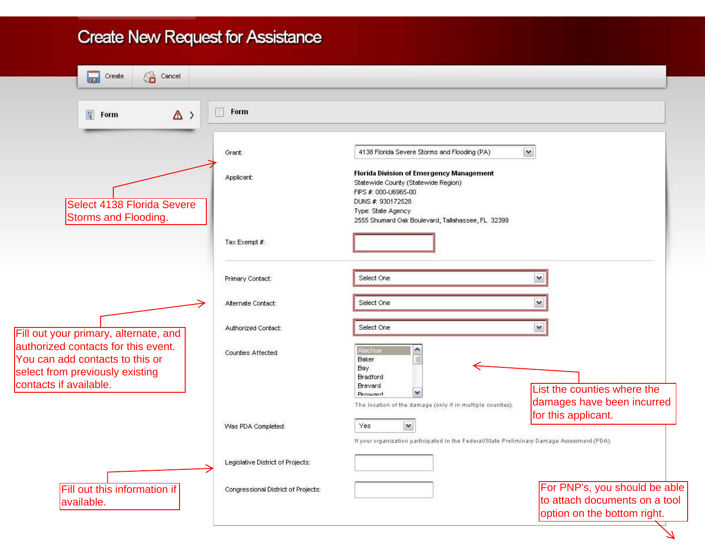### **Create New Request for Assistance**